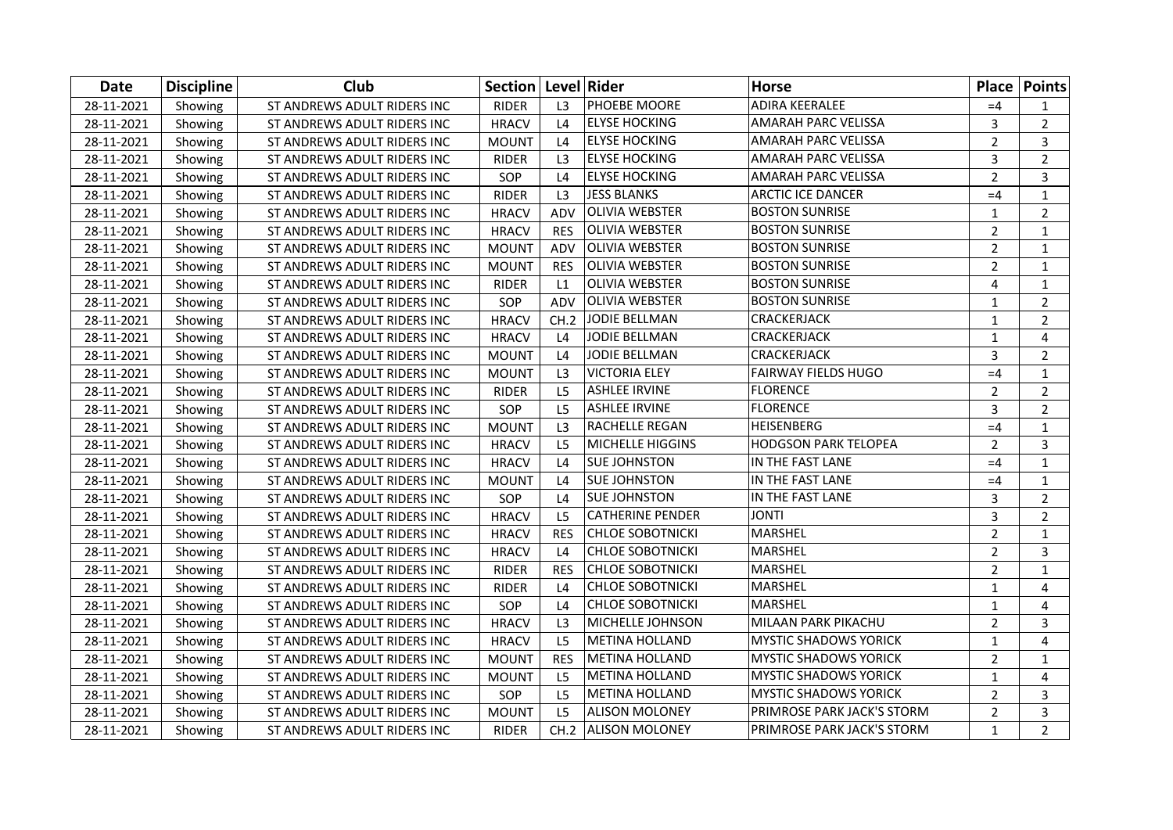| Date       | <b>Discipline</b> | Club                        | Section   Level   Rider |                |                         | <b>Horse</b>                 |                | <b>Place Points</b> |
|------------|-------------------|-----------------------------|-------------------------|----------------|-------------------------|------------------------------|----------------|---------------------|
| 28-11-2021 | Showing           | ST ANDREWS ADULT RIDERS INC | <b>RIDER</b>            | L <sub>3</sub> | PHOEBE MOORE            | <b>ADIRA KEERALEE</b>        | $=4$           | 1                   |
| 28-11-2021 | Showing           | ST ANDREWS ADULT RIDERS INC | <b>HRACV</b>            | L4             | <b>ELYSE HOCKING</b>    | AMARAH PARC VELISSA          | 3              | $\overline{2}$      |
| 28-11-2021 | Showing           | ST ANDREWS ADULT RIDERS INC | <b>MOUNT</b>            | L4             | <b>ELYSE HOCKING</b>    | AMARAH PARC VELISSA          | $\overline{2}$ | 3                   |
| 28-11-2021 | Showing           | ST ANDREWS ADULT RIDERS INC | <b>RIDER</b>            | L <sub>3</sub> | <b>ELYSE HOCKING</b>    | AMARAH PARC VELISSA          | 3              | $\overline{2}$      |
| 28-11-2021 | Showing           | ST ANDREWS ADULT RIDERS INC | SOP                     | L4             | <b>ELYSE HOCKING</b>    | AMARAH PARC VELISSA          | $\overline{2}$ | 3                   |
| 28-11-2021 | Showing           | ST ANDREWS ADULT RIDERS INC | <b>RIDER</b>            | L3             | <b>JESS BLANKS</b>      | <b>ARCTIC ICE DANCER</b>     | $=4$           | $\mathbf{1}$        |
| 28-11-2021 | Showing           | ST ANDREWS ADULT RIDERS INC | <b>HRACV</b>            | ADV            | <b>OLIVIA WEBSTER</b>   | <b>BOSTON SUNRISE</b>        | $\mathbf{1}$   | $\overline{2}$      |
| 28-11-2021 | Showing           | ST ANDREWS ADULT RIDERS INC | <b>HRACV</b>            | <b>RES</b>     | <b>OLIVIA WEBSTER</b>   | <b>BOSTON SUNRISE</b>        | $\overline{2}$ | $\mathbf{1}$        |
| 28-11-2021 | Showing           | ST ANDREWS ADULT RIDERS INC | <b>MOUNT</b>            | ADV            | <b>OLIVIA WEBSTER</b>   | <b>BOSTON SUNRISE</b>        | $\overline{2}$ | $\mathbf{1}$        |
| 28-11-2021 | Showing           | ST ANDREWS ADULT RIDERS INC | <b>MOUNT</b>            | <b>RES</b>     | <b>OLIVIA WEBSTER</b>   | <b>BOSTON SUNRISE</b>        | $\overline{2}$ | $\mathbf{1}$        |
| 28-11-2021 | Showing           | ST ANDREWS ADULT RIDERS INC | <b>RIDER</b>            | L1             | <b>OLIVIA WEBSTER</b>   | <b>BOSTON SUNRISE</b>        | 4              | $\mathbf{1}$        |
| 28-11-2021 | Showing           | ST ANDREWS ADULT RIDERS INC | SOP                     | ADV            | <b>OLIVIA WEBSTER</b>   | <b>BOSTON SUNRISE</b>        | $\mathbf{1}$   | $\overline{2}$      |
| 28-11-2021 | Showing           | ST ANDREWS ADULT RIDERS INC | <b>HRACV</b>            | CH.2           | <b>JODIE BELLMAN</b>    | CRACKERJACK                  | $\mathbf{1}$   | $\overline{2}$      |
| 28-11-2021 | Showing           | ST ANDREWS ADULT RIDERS INC | <b>HRACV</b>            | L4             | <b>JODIE BELLMAN</b>    | CRACKERJACK                  | $\mathbf{1}$   | 4                   |
| 28-11-2021 | Showing           | ST ANDREWS ADULT RIDERS INC | <b>MOUNT</b>            | L4             | <b>JODIE BELLMAN</b>    | CRACKERJACK                  | 3              | $\overline{2}$      |
| 28-11-2021 | Showing           | ST ANDREWS ADULT RIDERS INC | <b>MOUNT</b>            | L3             | <b>VICTORIA ELEY</b>    | <b>FAIRWAY FIELDS HUGO</b>   | $=4$           | $\mathbf{1}$        |
| 28-11-2021 | Showing           | ST ANDREWS ADULT RIDERS INC | <b>RIDER</b>            | L <sub>5</sub> | <b>ASHLEE IRVINE</b>    | <b>FLORENCE</b>              | $\overline{2}$ | $\overline{2}$      |
| 28-11-2021 | Showing           | ST ANDREWS ADULT RIDERS INC | SOP                     | L <sub>5</sub> | <b>ASHLEE IRVINE</b>    | <b>FLORENCE</b>              | 3              | $\overline{2}$      |
| 28-11-2021 | Showing           | ST ANDREWS ADULT RIDERS INC | <b>MOUNT</b>            | L <sub>3</sub> | RACHELLE REGAN          | HEISENBERG                   | $=4$           | $\mathbf{1}$        |
| 28-11-2021 | Showing           | ST ANDREWS ADULT RIDERS INC | <b>HRACV</b>            | L <sub>5</sub> | <b>MICHELLE HIGGINS</b> | <b>HODGSON PARK TELOPEA</b>  | $\overline{2}$ | 3                   |
| 28-11-2021 | Showing           | ST ANDREWS ADULT RIDERS INC | <b>HRACV</b>            | L4             | <b>SUE JOHNSTON</b>     | IN THE FAST LANE             | $=4$           | $\mathbf{1}$        |
| 28-11-2021 | Showing           | ST ANDREWS ADULT RIDERS INC | <b>MOUNT</b>            | L4             | <b>SUE JOHNSTON</b>     | IN THE FAST LANE             | $=4$           | $\mathbf{1}$        |
| 28-11-2021 | Showing           | ST ANDREWS ADULT RIDERS INC | SOP                     | L4             | <b>SUE JOHNSTON</b>     | IN THE FAST LANE             | 3              | $\overline{2}$      |
| 28-11-2021 | Showing           | ST ANDREWS ADULT RIDERS INC | <b>HRACV</b>            | L <sub>5</sub> | <b>CATHERINE PENDER</b> | <b>JONTI</b>                 | 3              | $\overline{2}$      |
| 28-11-2021 | Showing           | ST ANDREWS ADULT RIDERS INC | <b>HRACV</b>            | <b>RES</b>     | <b>CHLOE SOBOTNICKI</b> | MARSHEL                      | $\overline{2}$ | $\mathbf{1}$        |
| 28-11-2021 | Showing           | ST ANDREWS ADULT RIDERS INC | <b>HRACV</b>            | L4             | <b>CHLOE SOBOTNICKI</b> | MARSHEL                      | $\overline{2}$ | $\overline{3}$      |
| 28-11-2021 | Showing           | ST ANDREWS ADULT RIDERS INC | <b>RIDER</b>            | <b>RES</b>     | <b>CHLOE SOBOTNICKI</b> | MARSHEL                      | $\overline{2}$ | $\mathbf{1}$        |
| 28-11-2021 | Showing           | ST ANDREWS ADULT RIDERS INC | <b>RIDER</b>            | L4             | <b>CHLOE SOBOTNICKI</b> | <b>MARSHEL</b>               | $\mathbf{1}$   | 4                   |
| 28-11-2021 | Showing           | ST ANDREWS ADULT RIDERS INC | SOP                     | L4             | <b>CHLOE SOBOTNICKI</b> | <b>MARSHEL</b>               | $\mathbf{1}$   | $\overline{4}$      |
| 28-11-2021 | Showing           | ST ANDREWS ADULT RIDERS INC | <b>HRACV</b>            | L3             | MICHELLE JOHNSON        | MILAAN PARK PIKACHU          | $\overline{2}$ | 3                   |
| 28-11-2021 | Showing           | ST ANDREWS ADULT RIDERS INC | <b>HRACV</b>            | L <sub>5</sub> | <b>METINA HOLLAND</b>   | <b>MYSTIC SHADOWS YORICK</b> | $\mathbf{1}$   | 4                   |
| 28-11-2021 | Showing           | ST ANDREWS ADULT RIDERS INC | <b>MOUNT</b>            | <b>RES</b>     | <b>METINA HOLLAND</b>   | <b>MYSTIC SHADOWS YORICK</b> | $\overline{2}$ | $\mathbf{1}$        |
| 28-11-2021 | Showing           | ST ANDREWS ADULT RIDERS INC | <b>MOUNT</b>            | L <sub>5</sub> | <b>METINA HOLLAND</b>   | <b>MYSTIC SHADOWS YORICK</b> | $\mathbf{1}$   | 4                   |
| 28-11-2021 | Showing           | ST ANDREWS ADULT RIDERS INC | SOP                     | L <sub>5</sub> | <b>METINA HOLLAND</b>   | <b>MYSTIC SHADOWS YORICK</b> | $\overline{2}$ | 3                   |
| 28-11-2021 | Showing           | ST ANDREWS ADULT RIDERS INC | <b>MOUNT</b>            | L <sub>5</sub> | ALISON MOLONEY          | PRIMROSE PARK JACK'S STORM   | $\overline{2}$ | 3                   |
| 28-11-2021 | Showing           | ST ANDREWS ADULT RIDERS INC | <b>RIDER</b>            |                | CH.2 ALISON MOLONEY     | PRIMROSE PARK JACK'S STORM   | $\mathbf{1}$   | $\overline{2}$      |